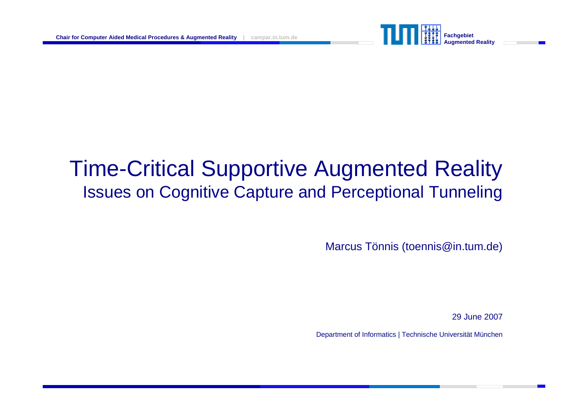

# Time-Critical Supportive Augmented Reality Issues on Cognitive Capture and Perceptional Tunneling

Marcus Tönnis (toennis@in.tum.de)

29 June 2007

Department of Informatics | Technische Universität München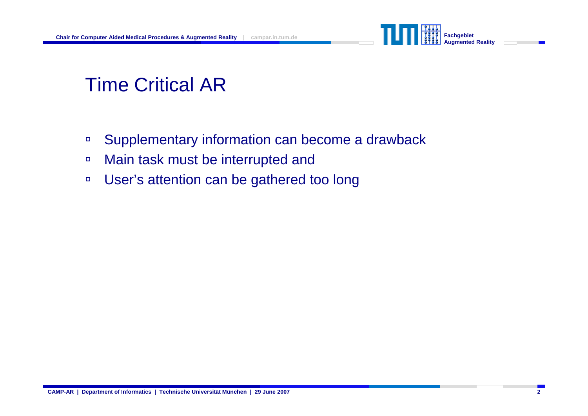

### Time Critical AR

- $\Box$ Supplementary information can become a drawback
- àMain task must be interrupted and
- $\Box$ User's attention can be gathered too long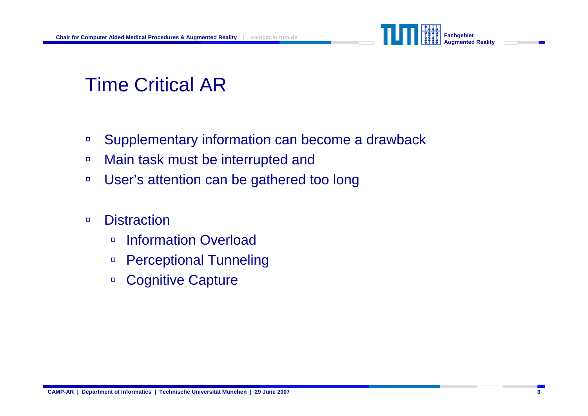

# Time Critical AR

- àSupplementary information can become a drawback
- àMain task must be interrupted and
- àUser's attention can be gathered too long

#### $\Box$ **Distraction**

- $\Box$ Information Overload
- àPerceptional Tunneling
- àCognitive Capture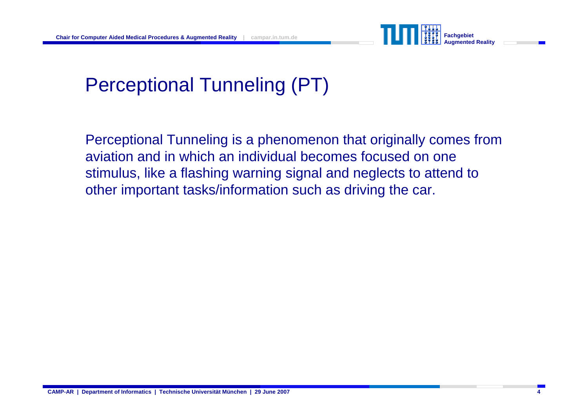

# Perceptional Tunneling (PT)

Perceptional Tunneling is a phenomenon that originally comes from aviation and in which an individual becomes focused on one stimulus, like a flashing warning signal and neglects to attend to other important tasks/information such as driving the car.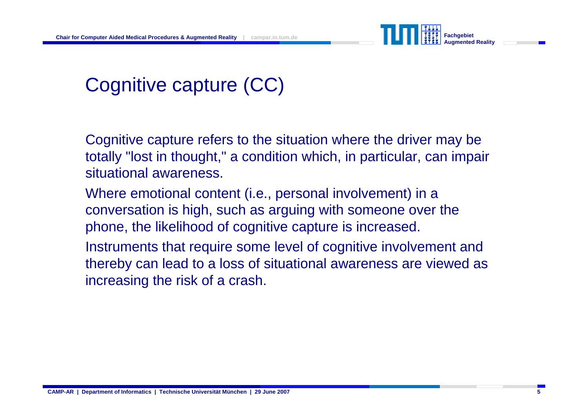

### Cognitive capture (CC)

Cognitive capture refers to the situation where the driver may be totally "lost in thought," a condition which, in particular, can impair situational awareness.

Where emotional content (i.e., personal involvement) in a conversation is high, such as arguing with someone over the phone, the likelihood of cognitive capture is increased.

Instruments that require some level of cognitive involvement and thereby can lead to a loss of situational awareness are viewed as increasing the risk of a crash.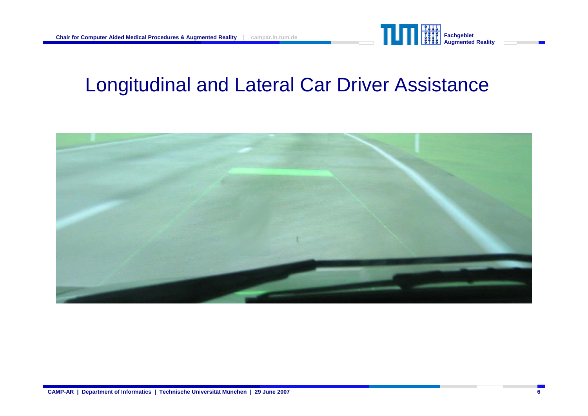

#### Longitudinal and Lateral Car Driver Assistance

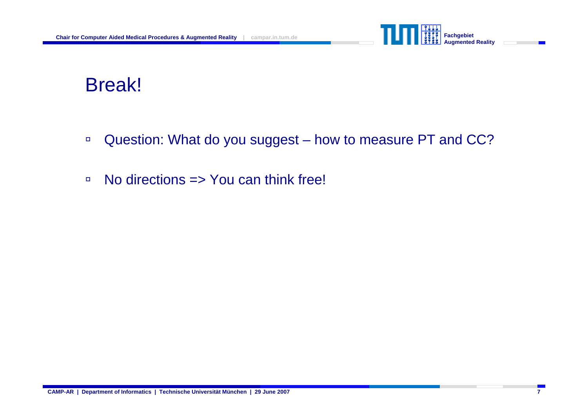

#### Break!

- $\Box$ Question: What do you suggest – how to measure PT and CC?
- àNo directions => You can think free!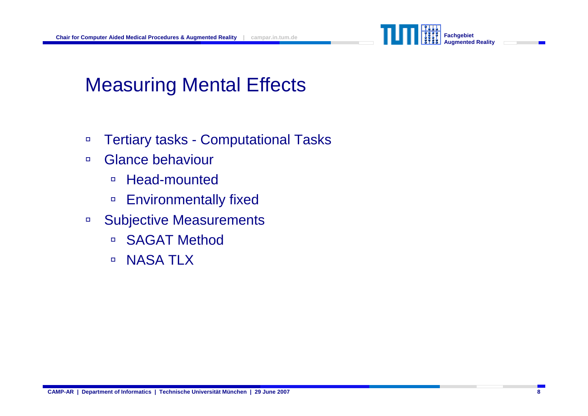

# Measuring Mental Effects

- àTertiary tasks - Computational Tasks
- $\Box$  Glance behaviour
	- àHead-mounted
	- àEnvironmentally fixed
- à Subjective Measurements
	- $\Box$ SAGAT Method
	- $\Box$ NASA TLX